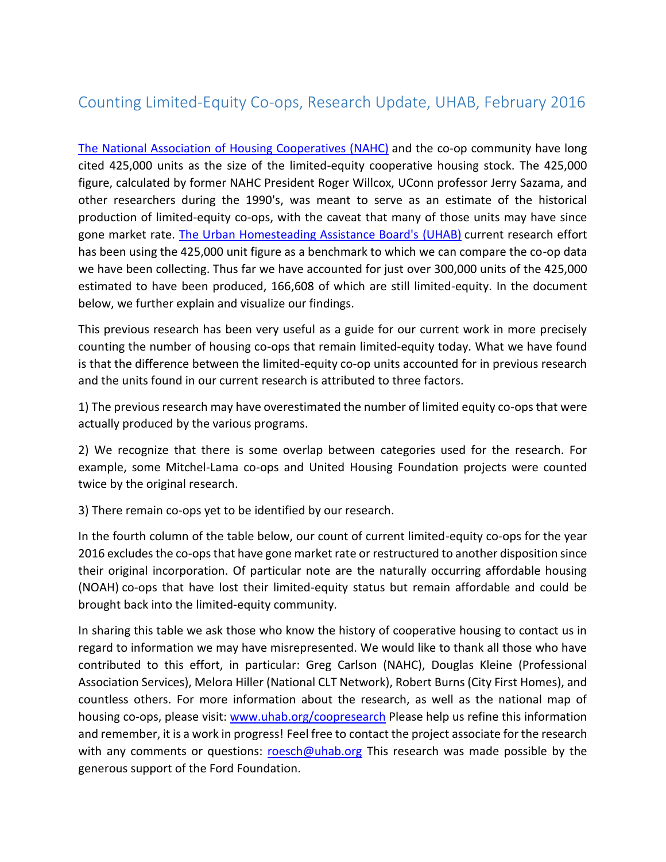## Counting Limited-Equity Co-ops, Research Update, UHAB, February 2016

[The National Association of Housing Cooperatives \(NAHC\)](http://www.nahc.coop/) and the co-op community have long cited 425,000 units as the size of the limited-equity cooperative housing stock. The 425,000 figure, calculated by former NAHC President Roger Willcox, UConn professor Jerry Sazama, and other researchers during the 1990's, was meant to serve as an estimate of the historical production of limited-equity co-ops, with the caveat that many of those units may have since gone market rate. [The Urban Homesteading Assistance Board's \(UHAB\)](http://www.uhab.org/) current research effort has been using the 425,000 unit figure as a benchmark to which we can compare the co-op data we have been collecting. Thus far we have accounted for just over 300,000 units of the 425,000 estimated to have been produced, 166,608 of which are still limited-equity. In the document below, we further explain and visualize our findings.

This previous research has been very useful as a guide for our current work in more precisely counting the number of housing co-ops that remain limited-equity today. What we have found is that the difference between the limited-equity co-op units accounted for in previous research and the units found in our current research is attributed to three factors.

1) The previous research may have overestimated the number of limited equity co-ops that were actually produced by the various programs.

2) We recognize that there is some overlap between categories used for the research. For example, some Mitchel-Lama co-ops and United Housing Foundation projects were counted twice by the original research.

3) There remain co-ops yet to be identified by our research.

In the fourth column of the table below, our count of current limited-equity co-ops for the year 2016 excludes the co-ops that have gone market rate or restructured to another disposition since their original incorporation. Of particular note are the naturally occurring affordable housing (NOAH) co-ops that have lost their limited-equity status but remain affordable and could be brought back into the limited-equity community.

In sharing this table we ask those who know the history of cooperative housing to contact us in regard to information we may have misrepresented. We would like to thank all those who have contributed to this effort, in particular: Greg Carlson (NAHC), Douglas Kleine (Professional Association Services), Melora Hiller (National CLT Network), Robert Burns (City First Homes), and countless others. For more information about the research, as well as the national map of housing co-ops, please visit: [www.uhab.org/coopresearch](http://www.uhab.org/coopresearch) Please help us refine this information and remember, it is a work in progress! Feel free to contact the project associate for the research with any comments or questions: [roesch@uhab.org](mailto:roesch@uhab.org) This research was made possible by the generous support of the Ford Foundation.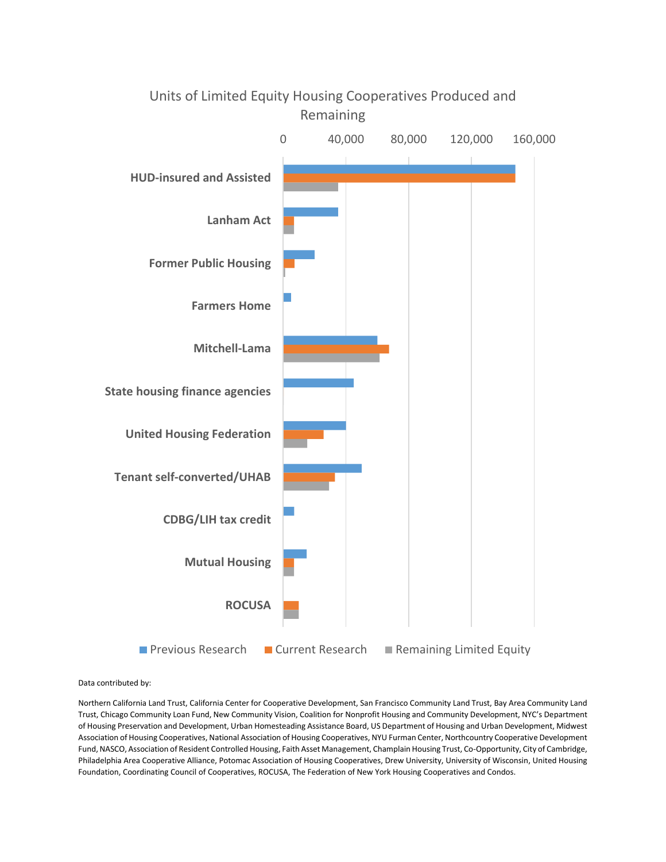## Units of Limited Equity Housing Cooperatives Produced and Remaining



Data contributed by:

Northern California Land Trust, California Center for Cooperative Development, San Francisco Community Land Trust, Bay Area Community Land Trust, Chicago Community Loan Fund, New Community Vision, Coalition for Nonprofit Housing and Community Development, NYC's Department of Housing Preservation and Development, Urban Homesteading Assistance Board, US Department of Housing and Urban Development, Midwest Association of Housing Cooperatives, National Association of Housing Cooperatives, NYU Furman Center, Northcountry Cooperative Development Fund, NASCO, Association of Resident Controlled Housing, Faith Asset Management, Champlain Housing Trust, Co-Opportunity, City of Cambridge, Philadelphia Area Cooperative Alliance, Potomac Association of Housing Cooperatives, Drew University, University of Wisconsin, United Housing Foundation, Coordinating Council of Cooperatives, ROCUSA, The Federation of New York Housing Cooperatives and Condos.